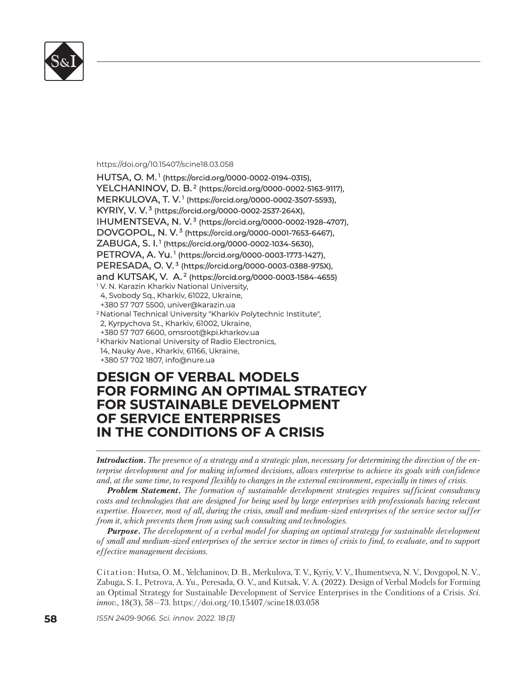

https://doi.org/10.15407/scine18.03.058

HUTSA, O. M.<sup>1</sup> (https://orcid.org/0000-0002-0194-0315), YELCHANINOV, D. B.<sup>2</sup> (https://orcid.org/0000-0002-5163-9117), MERKULOVA, T. V.<sup>1</sup> (https://orcid.org/0000-0002-3507-5593), KYRIY, V. V.<sup>3</sup> (https://orcid.org/0000-0002-2537-264X), IHUMENTSEVA, N. V.<sup>3</sup> (https://orcid.org/0000-0002-1928-4707), DOVGOPOL, N. V.<sup>3</sup> (https://orcid.org/0000-0001-7653-6467), ZABUGA, S. I. <sup>1</sup> (https://orcid.org/0000-0002-1034-5630), PETROVA, A. Yu.<sup>1</sup> (https://orcid.org/0000-0003-1773-1427), PERESADA, O. V.<sup>3</sup> (https://orcid.org/0000-0003-0388-975X), and KUTSAK, V. A.<sup>2</sup> (https://orcid.org/0000-0003-1584-4655) <sup>1</sup> V. N. Karazin Kharkiv National University, 4, Svobody Sq., Kharkiv, 61022, Ukraine, +380 57 707 5500, univer@karazin.ua +380 57 707 5500, <sup>2</sup> National Technical University "Kharkiv Polytechnic Institute", 2, Kyrpychova St., Kharkiv, 61002, Ukraine, +380 57 707 6600, omsroot@kpi.kharkov.ua +380 57 707 6600, <sup>3</sup> Kharkiv National University of Radio Electronics, 14, Nauky Ave., Kharkiv, 61166, Ukraine, +380 57 702 1807, info@nure.ua +380 57 702 1807, info@nure.ua

# **DESIGN OF VERBAL MODELS ESIGN OF VERBAL MODELS FOR FORMING AN OPTIMAL STRATEGY OR FORMING AN OPTIMAL STRATEGY FOR SUSTAINABLE DEVELOPMENT OF SERVICE ENTERPRISES F SERVICE ENTERPRISES IN THE CONDITIONS OF A CRISIS**

*Introduction. The presence of a strategy and a strategic plan, necessary for determining the direction of the enterprise development and for making informed decisions, allows enterprise to achieve its goals with confidence and, at the same time, to respond flexibly to changes in the external environment, especially in times of crisis.* 

*Problem Statement. The formation of sustainable development strategies requires sufficient consultancy costs and technologies that are designed for being used by large enterprises with professionals having relevant expertise. However, most of all, during the crisis, small and medium-sized enterprises of the service sector suffer from it, which prevents them from using such consulting and technologies.*

*Purpose. The development of a verbal model for shaping an optimal strategy for sustainable development of small and medium-sized enterprises of the service sector in times of crisis to find, to evaluate, and to support effective management decisions.*

Citation: Hutsa, O. М., Yelchaninov, D. B., Merkulova, T. V., Kyriy, V. V., Ihumentseva, N. V., Dovgopol, N. V., Zabuga, S. I., Petrova, A. Yu., Peresada, O. V., and Kutsak, V. A. (2022). Design of Verbal Models for Forming an Optimal Strategy for Sustainable Development of Service Enterprises in the Conditions of a Crisis. *Sci. innov.*, 18(3), 58–73. https://doi.org/10.15407/scine18.03.058

**58** *ISSN 2409-9066. Sci. innov.* 2022. 18 (3)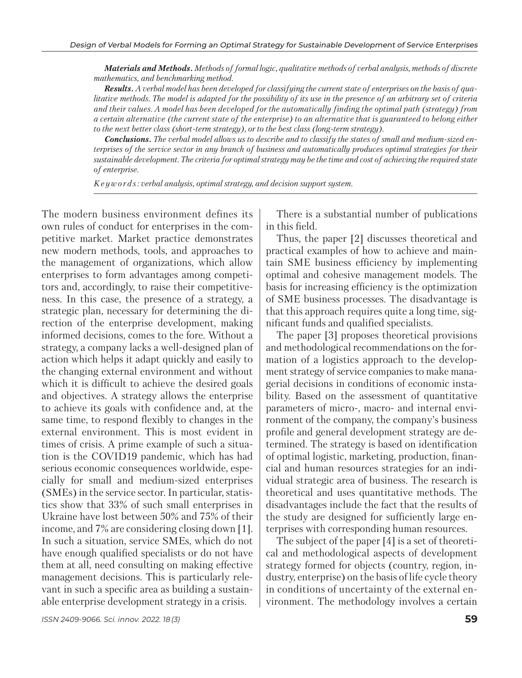*Materials and Methods. Methods of formal logic, qualitative methods of verbal analysis, methods of discrete mathematics, and benchmarking method.*

*Results. A verbal model has been developed for classifying the current state of enterprises on the basis of qualitative methods. The model is adapted for the possibility of its use in the presence of an arbitrary set of criteria and their values. A model has been developed for the automatically finding the optimal path (strategy) from a certain alternative (the current state of the enterprise) to an alternative that is guaranteed to belong either to the next better class (short-term strategy), or to the best class (long-term strategy).*

*Conclusions. The verbal model allows us to describe and to classify the states of small and medium-sized enterprises of the service sector in any branch of business and automatically produces optimal strategies for their sustainable development. The criteria for optimal strategy may be the time and cost of achieving the required state of enterprise.* 

*K e y w o r d s : verbal analysis, optimal strategy, and decision support system.*

The modern business environment defines its own rules of conduct for enterprises in the competitive market. Market practice demonstrates new modern methods, tools, and approaches to the management of organizations, which allow enterprises to form advantages among competitors and, accordingly, to raise their competitiveness. In this case, the presence of a strategy, a strategic plan, necessary for determining the direction of the enterprise development, making informed decisions, comes to the fore. Without a strategy, a company lacks a well-designed plan of action which helps it adapt quickly and easily to the changing external environment and without which it is difficult to achieve the desired goals and objectives. A strategy allows the enterprise to achieve its goals with confidence and, at the same time, to respond flexibly to changes in the external environment. This is most evident in times of crisis. A prime example of such a situation is the COVID19 pandemic, which has had serious economic consequences worldwide, especially for small and medium-sized enterprises (SMEs) in the service sector. In particular, statistics show that 33% of such small enterprises in Ukraine have lost between 50% and 75% of their income, and 7% are considering closing down [1]. In such a situation, service SMEs, which do not have enough qualified specialists or do not have them at all, need consulting on making effective management decisions. This is particularly relevant in such a specific area as building a sustainable enterprise development strategy in a crisis.

There is a substantial number of publications in this field.

Thus, the paper [2] discusses theoretical and practical examples of how to achieve and maintain SME business efficiency by implementing optimal and cohesive management models. The basis for increasing efficiency is the optimization of SME business processes. The disadvantage is that this approach requires quite a long time, significant funds and qualified specialists.

The paper [3] proposes theoretical provisions and methodological recommendations on the formation of a logistics approach to the development strategy of service companies to make managerial decisions in conditions of economic instability. Based on the assessment of quantitative parameters of micro-, macro- and internal environment of the company, the company's business profile and general development strategy are determined. The strategy is based on identification of optimal logistic, marketing, production, financial and human resources strategies for an individual strategic area of business. The research is theoretical and uses quantitative methods. The disadvantages include the fact that the results of the study are designed for sufficiently large enterprises with corresponding human resources.

The subject of the paper [4] is a set of theoretical and methodological aspects of development strategy formed for objects (country, region, industry, enterprise) on the basis of life cycle theory in conditions of uncertainty of the external environment. The methodology involves a certain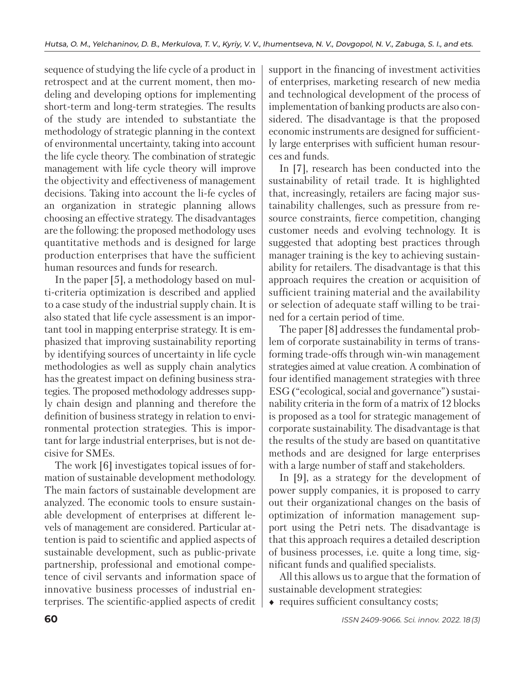sequence of studying the life cycle of a product in retrospect and at the current moment, then modeling and developing options for implementing short-term and long-term strategies. The results of the study are intended to substantiate the methodology of strategic planning in the context of environmental uncertainty, taking into account the life cycle theory. The combination of strategic management with life cycle theory will improve the objectivity and effectiveness of management decisions. Taking into account the li-fe cycles of an organization in strategic planning allows choosing an effective strategy. The disadvantages are the following: the proposed methodology uses quantitative methods and is designed for large production enterprises that have the sufficient human resources and funds for research.

In the paper [5], a methodology based on multi-criteria optimization is described and applied to a case study of the industrial supply chain. It is also stated that life cycle assessment is an important tool in mapping enterprise strategy. It is emphasized that improving sustainability reporting by identifying sources of uncertainty in life cycle methodologies as well as supply chain analytics has the greatest impact on defining business strategies. The proposed methodology addresses supply chain design and planning and therefore the definition of business strategy in relation to environmental protection strategies. This is important for large industrial enterprises, but is not decisive for SMEs.

The work [6] investigates topical issues of formation of sustainable development methodology. The main factors of sustainable development are analyzed. The economic tools to ensure sustainable development of enterprises at different levels of management are considered. Particular attention is paid to scientific and applied aspects of sustainable development, such as public-private partnership, professional and emotional competence of civil servants and information space of innovative business processes of industrial enterprises. The scientific-applied aspects of credit support in the financing of investment activities of enterprises, marketing research of new media and technological development of the process of implementation of banking products are also considered. The disadvantage is that the proposed economic instruments are designed for sufficiently large enterprises with sufficient human resources and funds.

In [7], research has been conducted into the sustainability of retail trade. It is highlighted that, increasingly, retailers are facing major sustainability challenges, such as pressure from resource constraints, fierce competition, changing customer needs and evolving technology. It is suggested that adopting best practices through manager training is the key to achieving sustainability for retailers. The disadvantage is that this approach requires the creation or acquisition of sufficient training material and the availability or selection of adequate staff willing to be trained for a certain period of time.

The paper [8] addresses the fundamental problem of corporate sustainability in terms of transforming trade-offs through win-win management strategies aimed at value creation. A combination of four identified management strategies with three ESG ("ecological, social and governance") sustainability criteria in the form of a matrix of 12 blocks is proposed as a tool for strategic management of corporate sustainability. The disadvantage is that the results of the study are based on quantitative methods and are designed for large enterprises with a large number of staff and stakeholders.

In [9], as a strategy for the development of power supply companies, it is proposed to carry out their organizational changes on the basis of optimization of information management support using the Petri nets. The disadvantage is that this approach requires a detailed description of business processes, i.e. quite a long time, significant funds and qualified specialists.

All this allows us to argue that the formation of sustainable development strategies:

• requires sufficient consultancy costs: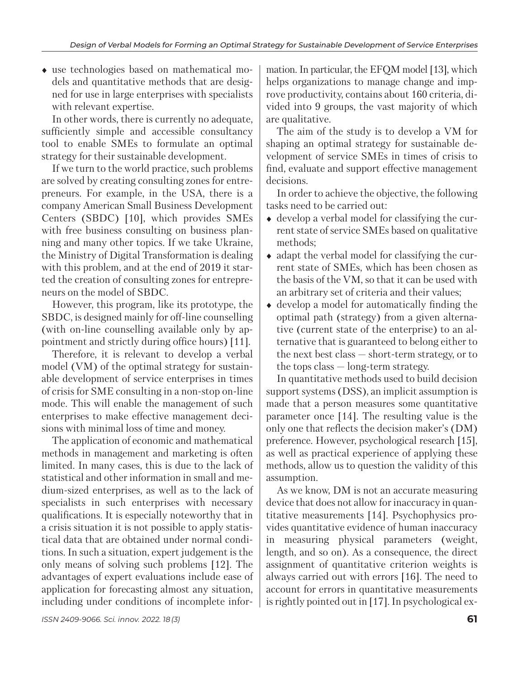use technologies based on mathematical models and quantitative methods that are designed for use in large enterprises with specialists with relevant expertise.

In other words, there is currently no adequate, sufficiently simple and accessible consultancy tool to enable SMEs to formulate an optimal strategy for their sustainable development.

If we turn to the world practice, such problems are solved by creating consulting zones for entrepreneurs. For example, in the USA, there is a company American Small Business Development Centers (SBDC) [10], which provides SMEs with free business consulting on business planning and many other topics. If we take Ukraine, the Ministry of Digital Transformation is dealing with this problem, and at the end of 2019 it started the creation of consulting zones for entrepreneurs on the model of SBDC.

However, this program, like its prototype, the SBDC, is designed mainly for off-line counselling (with on-line counselling available only by appointment and strictly during office hours) [11].

Therefore, it is relevant to develop a verbal model (VM) of the optimal strategy for sustainable development of service enterprises in times of crisis for SME consulting in a non-stop on-line mode. This will enable the management of such enterprises to make effective management decisions with minimal loss of time and money.

The application of economic and mathematical methods in management and marketing is often limited. In many cases, this is due to the lack of statistical and other information in small and medium-sized enterprises, as well as to the lack of specialists in such enterprises with necessary qualifications. It is especially noteworthy that in a crisis situation it is not possible to apply statistical data that are obtained under normal conditions. In such a situation, expert judgement is the only means of solving such problems [12]. The advantages of expert evaluations include ease of application for forecasting almost any situation, including under conditions of incomplete infor-

The aim of the study is to develop a VM for shaping an optimal strategy for sustainable development of service SMEs in times of crisis to find, evaluate and support effective management decisions.

In order to achieve the objective, the following tasks need to be carried out:

- $\bullet$  develop a verbal model for classifying the current state of service SMEs based on qualitative methods;
- $\bullet$  adapt the verbal model for classifying the current state of SMEs, which has been chosen as the basis of the VM, so that it can be used with an arbitrary set of criteria and their values;
- develop a model for automatically finding the optimal path (strategy) from a given alternative (current state of the enterprise) to an alternative that is guaranteed to belong either to the next best class — short-term strategy, or to the tops class — long-term strategy.

In quantitative methods used to build decision support systems (DSS), an implicit assumption is made that a person measures some quantitative parameter once [14]. The resulting value is the only one that reflects the decision maker's (DM) preference. However, psychological research [15], as well as practical experience of applying these methods, allow us to question the validity of this assumption.

As we know, DM is not an accurate measuring device that does not allow for inaccuracy in quantitative measurements [14]. Psychophysics provides quantitative evidence of human inaccuracy in measuring physical parameters (weight, length, and so on). As a consequence, the direct assignment of quantitative criterion weights is always carried out with errors [16]. The need to account for errors in quantitative measurements is rightly pointed out in [17]. In psychological ex-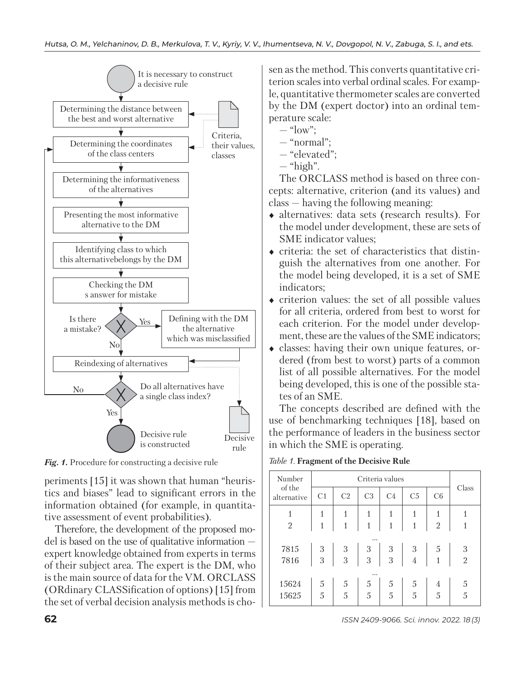

*Fig. 1.* **Procedure for constructing a decisive rule** *Table 1.* **Fragment of the Decisive Rule** 

periments [15] it was shown that human "heuristics and biases" lead to significant errors in the information obtained (for example, in quantitative assessment of event probabilities).

Therefore, the development of the proposed model is based on the use of qualitative information expert knowledge obtained from experts in terms of their subject area. The expert is the DM, who is the main source of data for the VM. ORCLASS (ORdinary CLASSification of options) [15] from the set of verbal decision analysis methods is chosen as the method. This converts quantitative criterion scales into verbal ordinal scales. For example, quantitative thermometer scales are converted by the DM (expert doctor) into an ordinal temperature scale:

- $-$  "low":
- "normal";
- "elevated";
- $-$  "high".

The ORCLASS method is based on three concepts: alternative, criterion (and its values) and class — having the following meaning:

- alternatives: data sets (research results). For the model under development, these are sets of SME indicator values;
- $\bullet$  criteria: the set of characteristics that distinguish the alternatives from one another. For the model being developed, it is a set of SME indicators;
- $\bullet$  criterion values: the set of all possible values for all criteria, ordered from best to worst for each criterion. For the model under development, these are the values of the SME indicators;
- classes: having their own unique features, ordered (from best to worst) parts of a common list of all possible alternatives. For the model being developed, this is one of the possible states of an SME.

The concepts described are defined with the use of benchmarking techniques [18], based on the performance of leaders in the business sector in which the SME is operating.

| Number                | Criteria values |                                       |                |                                       |                |                |               |
|-----------------------|-----------------|---------------------------------------|----------------|---------------------------------------|----------------|----------------|---------------|
| of the<br>alternative | C <sub>1</sub>  | C <sub>2</sub>                        | C <sub>3</sub> | C <sub>4</sub>                        | C <sub>5</sub> | C6             | Class         |
|                       | 1               |                                       |                |                                       |                |                |               |
| $\overline{2}$        |                 |                                       |                | $\overline{1}$                        |                | $\overline{2}$ |               |
|                       |                 |                                       |                |                                       |                |                |               |
| 7815                  | $\frac{3}{3}$   | $\begin{array}{c} 3 \\ 3 \end{array}$ | $\frac{3}{3}$  | $\begin{array}{c} 3 \\ 3 \end{array}$ | $\frac{3}{4}$  | $\frac{5}{1}$  |               |
| 7816                  |                 |                                       |                |                                       |                |                | $\frac{3}{2}$ |
|                       |                 |                                       |                |                                       |                |                |               |
| 15624                 | 5               | 5                                     | 5              | 5 <sup>5</sup>                        | 5              | 4              |               |
| 15625                 | 5               | $\overline{5}$                        | 5              | $\frac{1}{5}$                         | $\overline{5}$ | $\overline{5}$ | 5<br>5        |
|                       |                 |                                       |                |                                       |                |                |               |

**62** *ISSN 2409-9066. Sci. innov.* 2022. 18 (3)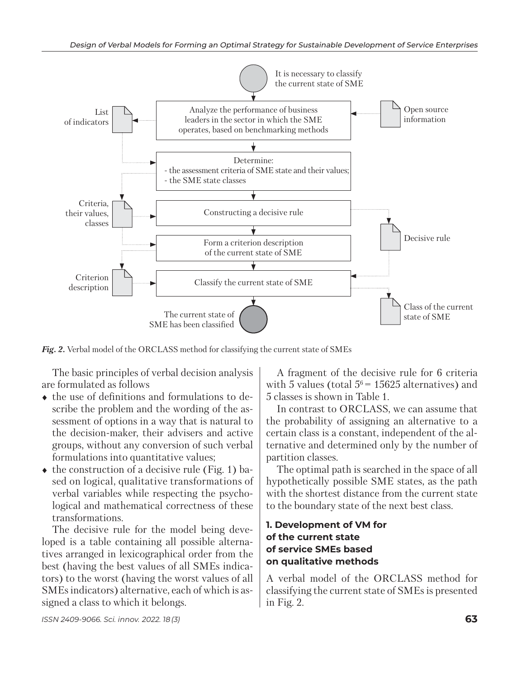

*Fig. 2.* Verbal model of the ORCLASS method for classifying the current state of SMEs

The basic principles of verbal decision analysis are formulated as follows

- the use of definitions and formulations to describe the problem and the wording of the assessment of options in a way that is natural to the decision-maker, their advisers and active groups, without any conversion of such verbal formulations into quantitative values;
- $\bullet$  the construction of a decisive rule (Fig. 1) based on logical, qualitative transformations of verbal variables while respecting the psychological and mathematical correctness of these transformations.

The decisive rule for the model being developed is a table containing all possible alternatives arranged in lexicographical order from the best (having the best values of all SMEs indicators) to the worst (having the worst values of all SMEs indicators) alternative, each of which is assigned a class to which it belongs.

A fragment of the decisive rule for 6 criteria with 5 values (total  $5^6$  = 15625 alternatives) and 5 classes is shown in Table 1.

In contrast to ORCLASS, we can assume that the probability of assigning an alternative to a certain class is a constant, independent of the alternative and determined only by the number of partition classes.

The optimal path is searched in the space of all hypothetically possible SME states, as the path with the shortest distance from the current state to the boundary state of the next best class.

### **1. Development of VM for of the current state of service SMEs based on qualitative methods**

A verbal model of the ORCLASS method for classifying the current state of SMEs is presented in Fig. 2.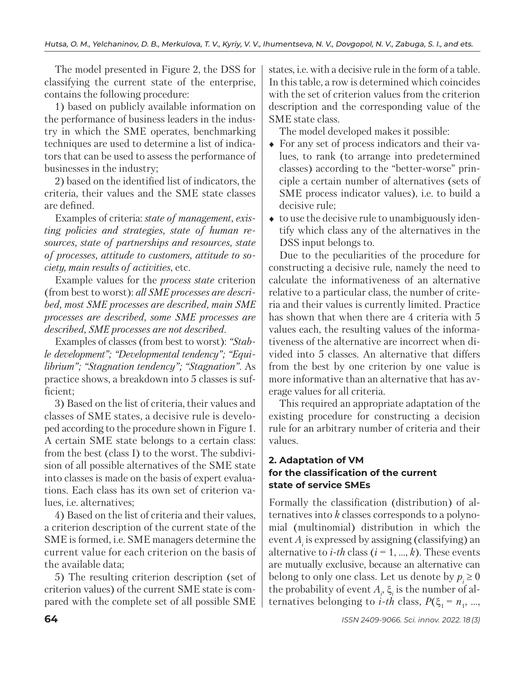The model presented in Figure 2, the DSS for classifying the current state of the enterprise, contains the following procedure:

1) based on publicly available information on the performance of business leaders in the industry in which the SME operates, benchmarking techniques are used to determine a list of indicators that can be used to assess the performance of businesses in the industry;

2) based on the identified list of indicators, the criteria, their values and the SME state classes are defined.

Examples of criteria: *state of management, existing policies and strategies, state of human resources, state of partnerships and resources, state of processes, attitude to customers, attitude to socie ty, main results of activities*, etc.

Example values for the *process state* criterion (from best to worst): *all SME processes are described, most SME processes are described, main SME processes are described, some SME processes are described, SME processes are not described*.

Examples of classes (from best to worst): *"Stable development"; "Developmental tendency"; "Equilibrium"; "Stagnation tendency"; "Stagnation"*. As practice shows, a breakdown into 5 classes is sufficient;

3) Based on the list of criteria, their values and classes of SME states, a decisive rule is developed according to the procedure shown in Figure 1. A certain SME state belongs to a certain class: from the best (class I) to the worst. The subdivision of all possible alternatives of the SME state into classes is made on the basis of expert evaluations. Each class has its own set of criterion values, i.e. alternatives;

4) Based on the list of criteria and their values, a criterion description of the current state of the SME is formed, i.e. SME managers determine the current value for each criterion on the basis of the available data;

5) The resulting criterion description (set of criterion values) of the current SME state is compared with the complete set of all possible SME

states, i.e. with a decisive rule in the form of a table. In this table, a row is determined which coincides with the set of criterion values from the criterion description and the corresponding value of the SME state class.

The model developed makes it possible:

- For any set of process indicators and their values, to rank (to arrange into predetermined classes) according to the "better-worse" principle a certain number of alternatives (sets of SME process indicator values), i.e. to build a decisive rule;
- $\bullet$  to use the decisive rule to unambiguously identify which class any of the alternatives in the DSS input belongs to.

Due to the peculiarities of the procedure for constructing a decisive rule, namely the need to calculate the informativeness of an alternative relative to a particular class, the number of criteria and their values is currently limited. Practice has shown that when there are 4 criteria with 5 values each, the resulting values of the informativeness of the alternative are incorrect when divided into 5 classes. An alternative that differs from the best by one criterion by one value is more informative than an alternative that has average values for all criteria.

This required an appropriate adaptation of the existing procedure for constructing a decision rule for an arbitrary number of criteria and their values.

# **2. Adaptation of VM for the classification of the current state of service SMEs**

Formally the classification (distribution) of alternatives into *k* classes corresponds to a polynomial (multinomial) distribution in which the event *Ai* is expressed by assigning (classifying) an alternative to *i*-th class  $(i = 1, ..., k)$ . These events are mutually exclusive, because an alternative can belong to only one class. Let us denote by  $p \geq 0$ the probability of event *Ai* , ξ*<sup>i</sup>* is the number of alternatives belonging to *i*-*th* class,  $P(\xi_1 = n_1, ...,$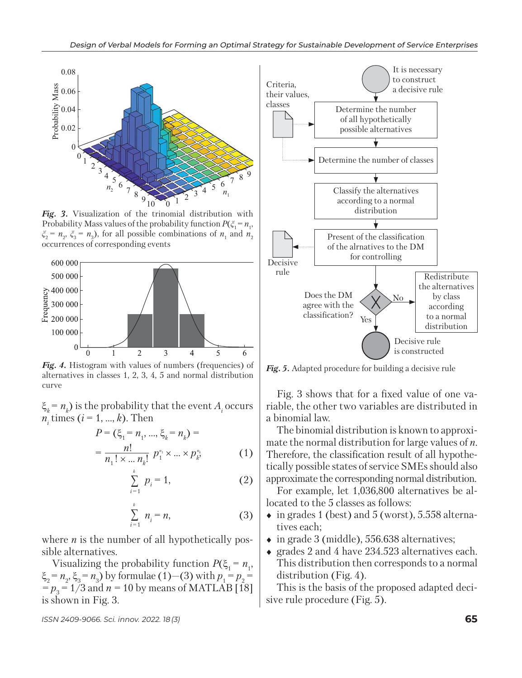

*Fig. 3.* Visualization of the trinomial distribution with Probability Mass values of the probability function  $P(\xi_1 = n_1)$ ,  $\xi_2 = n_2$ ,  $\xi_3 = n_3$ ), for all possible combinations of  $n_1$  and  $n_2$ occurrences of corresponding events



*Fig. 4.* Histogram with values of numbers (frequencies) of alternatives in classes 1, 2, 3, 4, 5 and normal distribution curve

 $\xi_k = n_k$ ) is the probability that the event *A<sub>i</sub>* occurs  $n_i$  times ( $i = 1, ..., k$ ). Then

$$
P = (\xi_1 = n_1, ..., \xi_k = n_k) =
$$
  
= 
$$
\frac{n!}{n_1! \times ... n_k!} p_1^{n_1} \times ... \times p_k^{n_k}
$$
 (1)

$$
\sum_{i=1}^{k} p_i = 1, \tag{2}
$$

$$
\sum_{i=1}^{k} n_i = n,\tag{3}
$$

where *n* is the number of all hypothetically possible alternatives.

Visualizing the probability function  $P(\xi_1 = n_1)$ ,  $\xi_2 = n_2$ ,  $\xi_3 = n_3$ ) by formulae (1)–(3) with  $p_1 = p_2 =$  $=p_3 = 1/3$  and  $n = 10$  by means of MATLAB [18] is shown in Fig. 3.



*Fig. 5.* Adapted procedure for building a decisive rule

Fig. 3 shows that for a fixed value of one variable, the other two variables are distributed in a binomial law.

The binomial distribution is known to approximate the normal distribution for large values of *n*. Therefore, the classification result of all hypothetically possible states of service SMEs should also approximate the corresponding normal distribution.

For example, let 1,036,800 alternatives be allocated to the 5 classes as follows:

- $\bullet$  in grades 1 (best) and 5 (worst), 5.558 alternatives each;
- in grade 3 (middle), 556.638 alternatives;
- grades 2 and 4 have 234.523 alternatives each. This distribution then corresponds to a normal distribution (Fig. 4).

This is the basis of the proposed adapted decisive rule procedure (Fig. 5).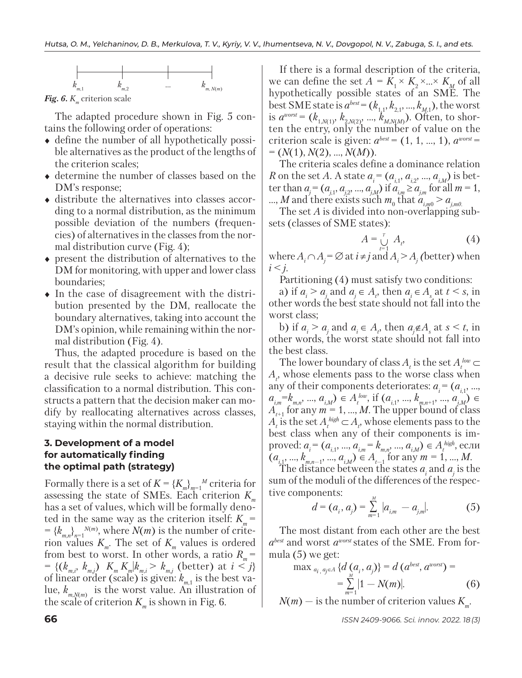

*Fig. 6. K<sub>m</sub>* criterion scale

The adapted procedure shown in Fig. 5 contains the following order of operations:

- define the number of all hypothetically possible alternatives as the product of the lengths of the criterion scales;
- determine the number of classes based on the DM's response;
- distribute the alternatives into classes according to a normal distribution, as the minimum possible deviation of the numbers (frequencies) of alternatives in the classes from the normal distribution curve (Fig. 4);
- present the distribution of alternatives to the DM for monitoring, with upper and lower class boundaries;
- In the case of disagreement with the distribution presented by the DM, reallocate the boundary alternatives, taking into account the DM's opinion, while remaining within the normal distribution (Fig. 4).

Thus, the adapted procedure is based on the result that the classical algorithm for building a decisive rule seeks to achieve: matching the classification to a normal distribution. This constructs a pattern that the decision maker can modify by reallocating alternatives across classes, staying within the normal distribution.

#### **3. Development of a model for automatically finding the optimal path (strategy)**

Formally there is a set of  $K = \{K_m\}_{m=1}^N$  criteria for assessing the state of SMEs. Each criterion  $K_{\mu}$ has a set of values, which will be formally denoted in the same way as the criterion itself:  $K_m$  =  $= {k_{m,n}}_{n=1}^{N(m)}$ , where  $N(m)$  is the number of criterion values  $K_m$ . The set of  $K_m$  values is ordered from best to worst. In other words, a ratio  $R_m$  =  $=\{(k_{m,i}, k_{m,j})\mid K_m K_m|k_{m,i} > k_{m,j}$  (better) at  $i < j\}$ of linear order (scale) is given:  $k_{m,1}$  is the best value,  $k_{m,N(m)}$  is the worst value. An illustration of the scale of criterion  $K_m$  is shown in Fig. 6.

If there is a formal description of the criteria, we can define the set  $A = K_1 \times K_2 \times ... \times K_M$  of all hypothetically possible states of an SME. The best SME state is  $a^{best} = (k_{1,1}, k_{2,1}, ..., k_{M,1})$ , the worst is  $a^{worst} = (k_{1,N(1)}, k_{2,N(2)}, ..., k_{M,N(M)})$ . Often, to shorten the entry, only the number of value on the criterion scale is given:  $a^{best} = (1, 1, ..., 1), a^{worst} =$ = (*N*(1), *N*(2), …, *N*(*M*)).

The criteria scales define a dominance relation *R* on the set *A*. A state  $a_i = (a_{i1}, a_{i2}, ..., a_{iM})$  is better than  $a_j = (a_{j,1}, a_{j,2}, ..., a_{j,M})$  if  $a_{i,m} \ge a_{j,m}$  for all  $m = 1$ ,  $...$ , *M* and there exists such  $m_0$  that  $a_{i,m0} > a_{j,m0}$ .

The set *A* is divided into non-overlapping subsets (classes of SME states):

$$
A = \bigcup_{t=1}^{r} A_t, \tag{4}
$$

where  $A_i \cap A_j = \emptyset$  at  $i \neq j$  and  $A_i > A_j$  (better) when  $i \leq j$ .

Partitioning (4) must satisfy two conditions:

a) if  $a_i > a_j$  and  $a_j \in A_t$ , then  $a_i \in A_s$  at  $t < s$ , in other words the best state should not fall into the worst class;

b) if  $a_i > a_j$  and  $a_i \in A_i$ , then  $a_j \notin A_s$  at  $s \le t$ , in other words, the worst state should not fall into the best class.

The lower boundary of class  $A_t$  is the set  $A_t^{low} \subset$  $A_t$ , whose elements pass to the worse class when any of their components deteriorates:  $a_i = (a_{i1}, ..., a_{i1})$  $a_{i,m} = k_{m,n}, \dots, a_{i,M}$  ∈  $A_t^{low}$ , if  $(a_{i,1}, ..., k_{m,n+1}, ..., a_{i,M}) \in$  $A_{t+1}^{\prime\prime\prime}$  for any  $m = 1, ..., M$ . The upper bound of class *A*<sub>t</sub> is the set  $A_t^{\text{high}}$  ⊂  $A_t$ , whose elements pass to the best class when any of their components is improved:  $a_i = (a_{i,1}, ..., a_{i,m} = k_{m,n}) \in A_t^{high}$ , если  $(a_{i,1}, ..., k_{m,n-1}, ..., a_{i,M}) \in A_{t-1}$  for any  $m = 1, ..., M$ .

The distance between the states  $a_i$  and  $a_j$  is the sum of the moduli of the differences of the respective components:

$$
d = (a_i, a_j) = \sum_{m=1}^{M} |a_{i,m} - a_{j,m}|.
$$
 (5)

The most distant from each other are the best *abest* and worst *aworst* states of the SME. From formula (5) we get:

max 
$$
a_{i, q_{j} \in A} \{d(a_{i}, a_{j})\} = d(a^{best}, a^{worst}) =
$$
  
=  $\sum_{m=1}^{M} |1 - N(m)|$ . (6)

 $N(m)$  — is the number of criterion values  $K_m$ .

**66** *ISSN 2409-9066. Sci. innov.* 2022. 18 (3)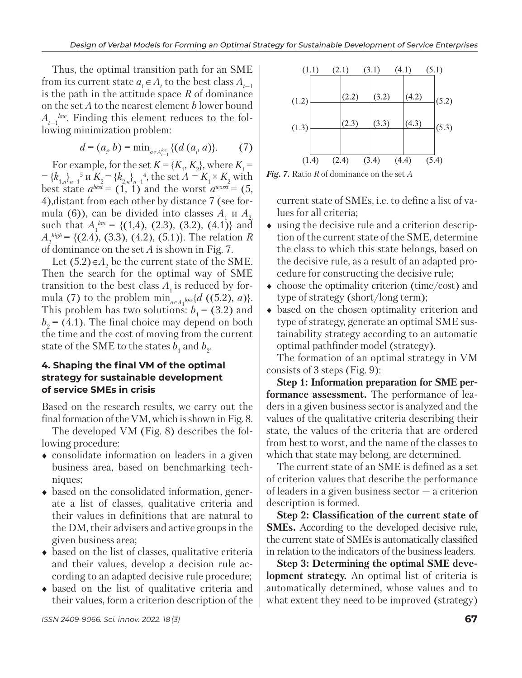Thus, the optimal transition path for an SME from its current state  $a_i \in A_t$  to the best class  $A_{t-1}$ is the path in the attitude space *R* of dominance on the set *A* to the nearest element *b* lower bound  $A_{t-1}^{low}$ . Finding this element reduces to the following minimization problem:

$$
d = (a_i, b) = \min_{a \in A_{t-1}^{low}} \{ (d(a_i, a)) \}.
$$
 (7)

For example, for the set  $K = \{K_1, K_2\}$ , where  $K_1 =$  $= {k_{1,n}}_{n=1}^5$  *u*  $K_2 = {k_{2,n}}_{n=1}^3$ , the set  $A = K_1 \times K_2$  with best state  $a^{best} = (1, 1)$  and the worst  $a^{worst} = (5, 1)$ 4),distant from each other by distance 7 (see formula (6)), can be divided into classes  $A_1$  u  $A_2$ such that  $A_1^{low} = \{(1,4), (2.3), (3.2), (4.1)\}\)$  and  $A_2^{high} = \{(2.4), (3.3), (4.2), (5.1)\}.$  The relation *R* of dominance on the set *A* is shown in Fig. 7.

Let  $(5.2) \in A_2$  be the current state of the SME. Then the search for the optimal way of SME transition to the best class  $A_1$  is reduced by formula (7) to the problem  $\min_{a \in A_1} \log \{d \cdot ((5.2), a)\}.$ This problem has two solutions:  $b_1$  = (3.2) and  $b<sub>2</sub> = (4.1)$ . The final choice may depend on both the time and the cost of moving from the current state of the SME to the states  $b_1$  and  $b_2$ .

#### **4. Shaping the final VM of the optimal strategy for sustainable development of service SMEs in crisis**

Based on the research results, we carry out the final formation of the VM, which is shown in Fig. 8.

The developed VM (Fig. 8) describes the following procedure:

- consolidate information on leaders in a given business area, based on benchmarking techniques;
- based on the consolidated information, generate a list of classes, qualitative criteria and their values in definitions that are natural to the DM, their advisers and active groups in the given business area;
- $\bullet$  based on the list of classes, qualitative criteria and their values, develop a decision rule according to an adapted decisive rule procedure;
- based on the list of qualitative criteria and their values, form a criterion description of the



*Fig. 7.* Ratio *R* of dominance on the set *A*

current state of SMEs, i.e. to define a list of values for all criteria;

- using the decisive rule and a criterion description of the current state of the SME, determine the class to which this state belongs, based on the decisive rule, as a result of an adapted procedure for constructing the decisive rule;
- $\bullet$  choose the optimality criterion (time/cost) and type of strategy (short/long term);
- based on the chosen optimality criterion and type of strategy, generate an optimal SME sustainability strategy according to an automatic optimal pathfinder model (strategy).

The formation of an optimal strategy in VM consists of 3 steps (Fig. 9):

**Step 1: Information preparation for SME performance assessment.** The performance of leaders in a given business sector is analyzed and the values of the qualitative criteria describing their state, the values of the criteria that are ordered from best to worst, and the name of the classes to which that state may belong, are determined.

The current state of an SME is defined as a set of criterion values that describe the performance of leaders in a given business sector — a criterion description is formed.

**Step 2: Classification of the current state of SMEs.** According to the developed decisive rule, the current state of SMEs is automatically classified in relation to the indicators of the business leaders.

**Step 3: Determining the optimal SME development strategy.** An optimal list of criteria is automatically determined, whose values and to what extent they need to be improved (strategy)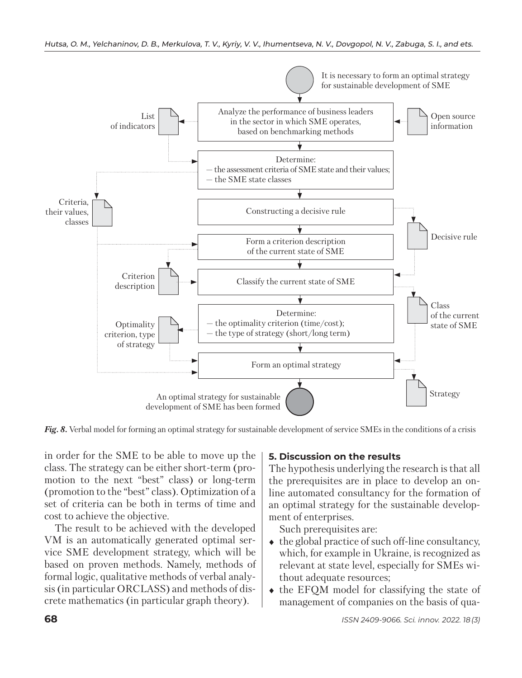

*Fig. 8.* Verbal model for forming an optimal strategy for sustainable development of service SMEs in the conditions of a crisis

in order for the SME to be able to move up the class. The strategy can be either short-term (promotion to the next "best" class) or long-term (promotion to the "best" class). Optimization of a set of criteria can be both in terms of time and cost to achieve the objective.

The result to be achieved with the developed VM is an automatically generated optimal service SME development strategy, which will be based on proven methods. Namely, methods of formal logic, qualitative methods of verbal analysis (in particular ORCLASS) and methods of discrete mathematics (in particular graph theory).

# **5. Discussion on the results**

The hypothesis underlying the research is that all the prerequisites are in place to develop an online automated consultancy for the formation of an optimal strategy for the sustainable development of enterprises.

Such prerequisites are:

- $\bullet$  the global practice of such off-line consultancy, which, for example in Ukraine, is recognized as relevant at state level, especially for SMEs without adequate resources;
- $\bullet$  the EFOM model for classifying the state of management of companies on the basis of qua-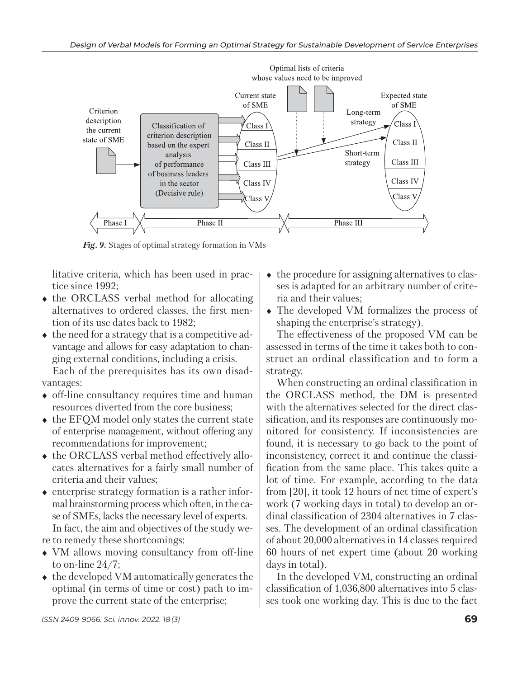

*Fig. 9.* Stages of optimal strategy formation in VMs

litative criteria, which has been used in practice since 1992;

- the ORCLASS verbal method for allocating alternatives to ordered classes, the first mention of its use dates back to 1982;
- $\bullet$  the need for a strategy that is a competitive advantage and allows for easy adaptation to changing external conditions, including a crisis. Each of the prerequisites has its own disadvantages:
- off-line consultancy requires time and human resources diverted from the core business;
- $\triangleleft$  the EFOM model only states the current state of enterprise management, without offering any recommendations for improvement;
- $\bullet$  the ORCLASS verbal method effectively allocates alternatives for a fairly small number of criteria and their values;
- $\bullet$  enterprise strategy formation is a rather informal brainstorming process which often, in the case of SMEs, lacks the necessary level of experts. In fact, the aim and objectives of the study were to remedy these shortcomings:
- VM allows moving consultancy from off-line to on-line 24/7;
- $\triangle$  the developed VM automatically generates the optimal (in terms of time or cost) path to improve the current state of the enterprise;
- $\bullet$  the procedure for assigning alternatives to classes is adapted for an arbitrary number of criteria and their values;
- The developed VM formalizes the process of shaping the enterprise's strategy).

The effectiveness of the proposed VM can be assessed in terms of the time it takes both to construct an ordinal classification and to form a strategy.

When constructing an ordinal classification in the ORCLASS method, the DM is presented with the alternatives selected for the direct classification, and its responses are continuously monitored for consistency. If inconsistencies are found, it is necessary to go back to the point of inconsistency, correct it and continue the classification from the same place. This takes quite a lot of time. For example, according to the data from [20], it took 12 hours of net time of expert's work (7 working days in total) to develop an ordinal classification of 2304 alternatives in 7 classes. The development of an ordinal classification of about 20,000 alternatives in 14 classes required 60 hours of net expert time (about 20 working days in total).

In the developed VM, constructing an ordinal classification of 1,036,800 alternatives into 5 classes took one working day. This is due to the fact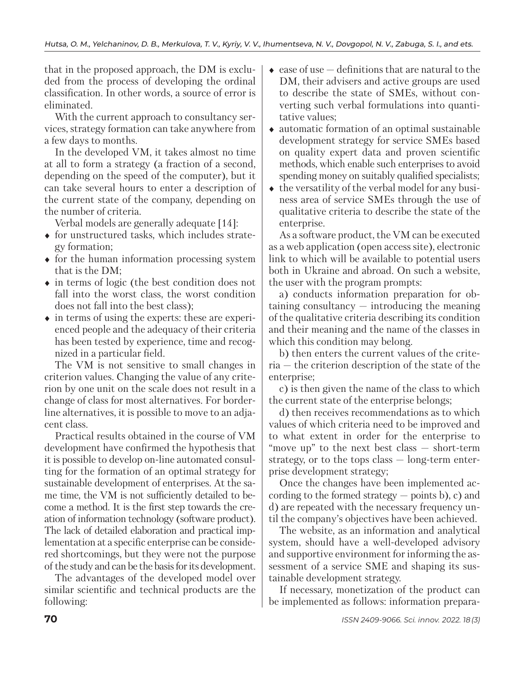that in the proposed approach, the DM is excluded from the process of developing the ordinal classification. In other words, a source of error is eliminated.

With the current approach to consultancy services, strategy formation can take anywhere from a few days to months.

In the developed VM, it takes almost no time at all to form a strategy (a fraction of a second, depending on the speed of the computer), but it can take several hours to enter a description of the current state of the company, depending on the number of criteria.

Verbal models are generally adequate [14]:

- $\bullet$  for unstructured tasks, which includes strategy formation;
- $\bullet$  for the human information processing system that is the DM;
- in terms of logic (the best condition does not fall into the worst class, the worst condition does not fall into the best class);
- $\bullet$  in terms of using the experts: these are experienced people and the adequacy of their criteria has been tested by experience, time and recognized in a particular field.

The VM is not sensitive to small changes in criterion values. Changing the value of any criterion by one unit on the scale does not result in a change of class for most alternatives. For borderline alternatives, it is possible to move to an adjacent class.

Practical results obtained in the course of VM development have confirmed the hypothesis that it is possible to develop on-line automated consulting for the formation of an optimal strategy for sustainable development of enterprises. At the same time, the VM is not sufficiently detailed to become a method. It is the first step towards the creation of information technology (software product). The lack of detailed elaboration and practical implementation at a specific enterprise can be considered shortcomings, but they were not the purpose of the study and can be the basis for its development.

The advantages of the developed model over similar scientific and technical products are the following:

- $\bullet$  ease of use  $-$  definitions that are natural to the DM, their advisers and active groups are used to describe the state of SMEs, without converting such verbal formulations into quantitative values;
- automatic formation of an optimal sustainable development strategy for service SMEs based on quality expert data and proven scientific methods, which enable such enterprises to avoid spending money on suitably qualified specialists;
- $\bullet$  the versatility of the verbal model for any business area of service SMEs through the use of qualitative criteria to describe the state of the enterprise.

As a software product, the VM can be executed as a web application (open access site), electronic link to which will be available to potential users both in Ukraine and abroad. On such a website, the user with the program prompts:

a) conducts information preparation for obtaining consultancy — introducing the meaning of the qualitative criteria describing its condition and their meaning and the name of the classes in which this condition may belong.

b) then enters the current values of the criteria — the criterion description of the state of the enterprise;

c) is then given the name of the class to which the current state of the enterprise belongs;

d) then receives recommendations as to which values of which criteria need to be improved and to what extent in order for the enterprise to "move up" to the next best class — short-term strategy, or to the tops class — long-term enterprise development strategy;

Once the changes have been implemented according to the formed strategy  $-$  points b), c) and d) are repeated with the necessary frequency until the company's objectives have been achieved.

The website, as an information and analytical system, should have a well-developed advisory and supportive environment for informing the assessment of a service SME and shaping its sustainable development strategy.

If necessary, monetization of the product can be implemented as follows: information prepara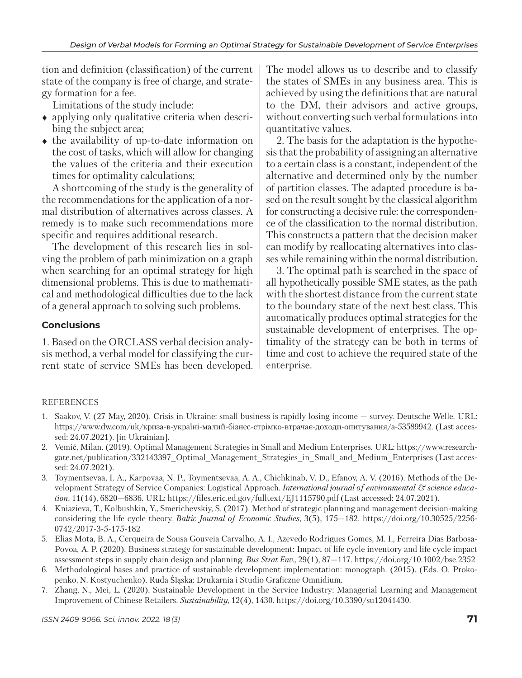tion and definition (classification) of the current state of the company is free of charge, and strategy formation for a fee.

Limitations of the study include:

- applying only qualitative criteria when describing the subject area;
- the availability of up-to-date information on the cost of tasks, which will allow for changing the values of the criteria and their execution times for optimality calculations;

A shortcoming of the study is the generality of the recommendations for the application of a normal distribution of alternatives across classes. A remedy is to make such recommendations more specific and requires additional research.

The development of this research lies in solving the problem of path minimization on a graph when searching for an optimal strategy for high dimensional problems. This is due to mathematical and methodological difficulties due to the lack of a general approach to solving such problems.

### **Conclusions**

1. Based on the ORCLASS verbal decision analysis method, a verbal model for classifying the current state of service SMEs has been developed. The model allows us to describe and to classify the states of SMEs in any business area. This is achieved by using the definitions that are natural to the DM, their advisors and active groups, without converting such verbal formulations into quantitative values.

2. The basis for the adaptation is the hypothesis that the probability of assigning an alternative to a certain class is a constant, independent of the alternative and determined only by the number of partition classes. The adapted procedure is based on the result sought by the classical algorithm for constructing a decisive rule: the correspondence of the classification to the normal distribution. This constructs a pattern that the decision maker can modify by reallocating alternatives into classes while remaining within the normal distribution.

3. The optimal path is searched in the space of all hypothetically possible SME states, as the path with the shortest distance from the current state to the boundary state of the next best class. This automatically produces optimal strategies for the sustainable development of enterprises. The optimality of the strategy can be both in terms of time and cost to achieve the required state of the enterprise.

#### REFERENCES

- 1. Saakov, V. (27 May, 2020). Crisis in Ukraine: small business is rapidly losing income survey. Deutsche Welle. URL: https://www.dw.com/uk/криза-в-україні-малий-бізнес-стрімко-втрачає-доходи-опитування/a-53589942. (Last accessed: 24.07.2021). [in Ukrainian].
- 2. Vemić, Milan. (2019). Optimal Management Strategies in Small and Medium Enterprises. URL: https://www.researchgate.net/publication/332143397\_Optimal\_Management\_Strategies\_in\_Small\_and\_Medium\_Enterprises (Last accessed: 24.07.2021).
- 3. Toymentsevaa, I. A., Karpovaa, N. P., Toymentsevaa, A. A., Chichkinab, V. D., Efanov, A. V. (2016). Methods of the Development Strategy of Service Companies: Logistical Approach. *International journal of environmental & science education*, 11(14), 6820—6836. URL: https://files.eric.ed.gov/fulltext/EJ1115790.pdf (Last accessed: 24.07.2021).
- 4. Kniazieva, T., Kolbushkin, Y., Smerichevskiy, S. (2017). Method of strategic planning and management decision-making considering the life cycle theory. *Baltic Journal of Economic Studies*, 3(5), 175—182. https://doi.org/10.30525/2256- 0742/2017-3-5-175-182
- 5. Elias Mota, B. A., Cerqueira de Sousa Gouveia Carvalho, A. I., Azevedo Rodrigues Gomes, M. I., Ferreira Dias Barbosa-Povoa, A. P. (2020). Business strategy for sustainable development: Impact of life cycle inventory and life cycle impact assessment steps in supply chain design and planning. *Bus Strat Env.*, 29(1), 87—117. https://doi.org/10.1002/bse.2352
- 6. Methodological bases and practice of sustainable development implementation: monograph. (2015). (Eds. O. Prokopenko, N. Kostyuchenko). Ruda Śląska: Drukarnia i Studio Graficzne Omnidium.
- 7. Zhang, N., Mei, L. (2020). Sustainable Development in the Service Industry: Managerial Learning and Management Improvement of Chinese Retailers. *Sustainability,* 12(4), 1430. https://doi.org/10.3390/su12041430.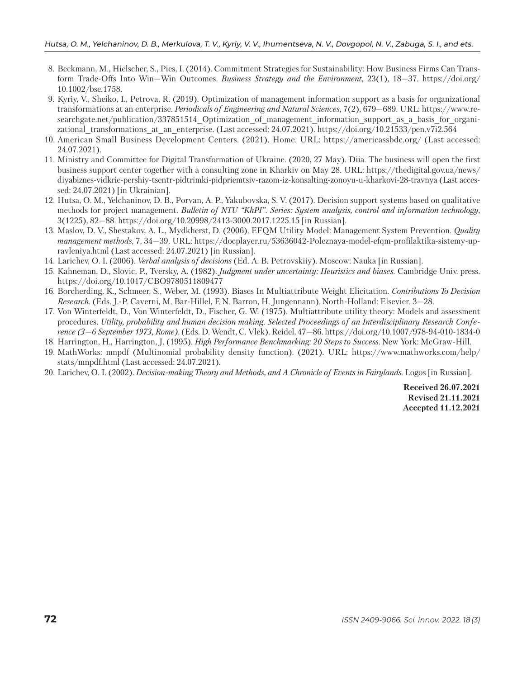- 8. Beckmann, M., Hielscher, S., Pies, I. (2014). Commitment Strategies for Sustainability: How Business Firms Can Transform Trade-Offs Into Win—Win Outcomes. *Business Strategy and the Environment,* 23(1), 18—37. https://doi.org/ 10.1002/bse.1758.
- 9. Kyriy, V., Sheiko, I., Petrova, R. (2019). Optimization of management information support as a basis for organizational transformations at an enterprise. *Periodicals of Engineering and Natural Sciences*, 7(2), 679—689. URL: https://www.researchgate.net/publication/337851514 Optimization of management information support as a basis for organizational\_transformations\_at\_an\_enterprise. (Last accessed: 24.07.2021). https://doi.org/10.21533/pen.v7i2.564
- 10. American Small Business Development Centers. (2021). Home. URL: https://americassbdc.org/ (Last accessed: 24.07.2021).
- 11. Ministry and Committee for Digital Transformation of Ukraine. (2020, 27 May). Diia. The business will open the first business support center together with a consulting zone in Kharkiv on May 28. URL: https://thedigital.gov.ua/news/ diyabiznes-vidkrie-pershiy-tsentr-pidtrimki-pidpriemtsiv-razom-iz-konsalting-zonoyu-u-kharkovi-28-travnya (Last accessed: 24.07.2021) [in Ukrainian].
- 12. Hutsa, O. M., Yelchaninov, D. B., Porvan, A. P., Yakubovska, S. V. (2017). Decision support systems based on qualitative methods for project management. *Bulletin of NTU "KhPI". Series: System analysis, control and information technology*, 3(1225), 82—88. https://doi.org/10.20998/2413-3000.2017.1225.15 [in Russian].
- 13. Maslov, D. V., Shestakov, A. L., Mydkherst, D. (2006). EFQM Utility Model: Management System Prevention. *Quality management methods*, 7, 34—39. URL: https://docplayer.ru/53636042-Poleznaya-model-efqm-profilaktika-sistemy-upravleniya.html (Last accessed: 24.07.2021) [in Russian].
- 14. Larichev, О. I. (2006). *Verbal analysis of decisions* (Ed. А. B. Petrovskiiy). Moscow: Nauka [in Russian].
- 15. Kahneman, D., Slovic, P., Tversky, A. (1982). *Judgment under uncertainty: Heuristics and biases*. Cambridge Univ. press. https://doi.org/10.1017/CBO9780511809477
- 16. Borcherding, K., Schmeer, S., Weber, M. (1993). Biases In Multiattribute Weight Elicitation. *Contributions To Decision Research.* (Eds. J.-P. Caverni, M. Bar-Hillel, F. N. Barron, H. Jungennann). North-Holland: Elsevier. 3—28.
- 17. Von Winterfeldt, D., Von Winterfeldt, D., Fischer, G. W. (1975). Multiattribute utility theory: Models and assessment procedures. *Utility, probability and human decision making. Selected Proceedings of an Interdisciplinary Research Conference (3—6 September 1973, Rome).* (Eds. D. Wendt, C. Vlek). Reidel, 47—86. https://doi.org/10.1007/978-94-010-1834-0
- 18. Harrington, H., Harrington, J. (1995). *High Performance Benchmarking: 20 Steps to Success*. New York: McGraw-Hill.
- 19. MathWorks: mnpdf (Multinomial probability density function). (2021). URL: https://www.mathworks.com/help/ stats/mnpdf.html (Last accessed: 24.07.2021).
- 20. Larichev, О. I. (2002). *Decision-making Theory and Methods, and A Chronicle of Events in Fairylands*. Logos [in Russian].

**Received 26.07.2021 Revised 21.11.2021 Accepted 11.12.2021**